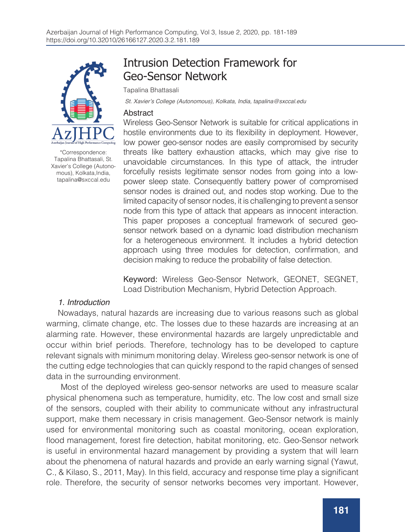

\*Correspondence: Tapalina Bhattasali, St. Xavier's College (Autonomous), Kolkata,India, tapalina@sxccal.edu

# Intrusion Detection Framework for Geo-Sensor Network

Tapalina Bhattasali

St. Xavier's College (Autonomous), Kolkata, India, tapalina@sxccal.edu

#### Abstract

Wireless Geo-Sensor Network is suitable for critical applications in hostile environments due to its flexibility in deployment. However, low power geo-sensor nodes are easily compromised by security threats like battery exhaustion attacks, which may give rise to unavoidable circumstances. In this type of attack, the intruder forcefully resists legitimate sensor nodes from going into a lowpower sleep state. Consequently battery power of compromised sensor nodes is drained out, and nodes stop working. Due to the limited capacity of sensor nodes, it is challenging to prevent a sensor node from this type of attack that appears as innocent interaction. This paper proposes a conceptual framework of secured geosensor network based on a dynamic load distribution mechanism for a heterogeneous environment. It includes a hybrid detection approach using three modules for detection, confirmation, and decision making to reduce the probability of false detection.

Keyword: Wireless Geo-Sensor Network, GEONET, SEGNET, Load Distribution Mechanism, Hybrid Detection Approach.

### 1. Introduction

Nowadays, natural hazards are increasing due to various reasons such as global warming, climate change, etc. The losses due to these hazards are increasing at an alarming rate. However, these environmental hazards are largely unpredictable and occur within brief periods. Therefore, technology has to be developed to capture relevant signals with minimum monitoring delay. Wireless geo-sensor network is one of the cutting edge technologies that can quickly respond to the rapid changes of sensed data in the surrounding environment.

 Most of the deployed wireless geo-sensor networks are used to measure scalar physical phenomena such as temperature, humidity, etc. The low cost and small size of the sensors, coupled with their ability to communicate without any infrastructural support, make them necessary in crisis management. Geo-Sensor network is mainly used for environmental monitoring such as coastal monitoring, ocean exploration, flood management, forest fire detection, habitat monitoring, etc. Geo-Sensor network is useful in environmental hazard management by providing a system that will learn about the phenomena of natural hazards and provide an early warning signal (Yawut, C., & Kilaso, S., 2011, May). In this field, accuracy and response time play a significant role. Therefore, the security of sensor networks becomes very important. However,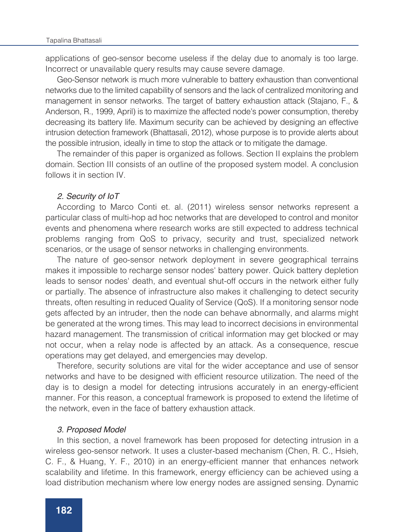applications of geo-sensor become useless if the delay due to anomaly is too large. Incorrect or unavailable query results may cause severe damage.

Geo-Sensor network is much more vulnerable to battery exhaustion than conventional networks due to the limited capability of sensors and the lack of centralized monitoring and management in sensor networks. The target of battery exhaustion attack (Stajano, F., & Anderson, R., 1999, April) is to maximize the affected node's power consumption, thereby decreasing its battery life. Maximum security can be achieved by designing an effective intrusion detection framework (Bhattasali, 2012), whose purpose is to provide alerts about the possible intrusion, ideally in time to stop the attack or to mitigate the damage.

The remainder of this paper is organized as follows. Section II explains the problem domain. Section III consists of an outline of the proposed system model. A conclusion follows it in section IV.

#### 2. Security of IoT

According to Marco Conti et. al. (2011) wireless sensor networks represent a particular class of multi-hop ad hoc networks that are developed to control and monitor events and phenomena where research works are still expected to address technical problems ranging from QoS to privacy, security and trust, specialized network scenarios, or the usage of sensor networks in challenging environments.

The nature of geo-sensor network deployment in severe geographical terrains makes it impossible to recharge sensor nodes' battery power. Quick battery depletion leads to sensor nodes' death, and eventual shut-off occurs in the network either fully or partially. The absence of infrastructure also makes it challenging to detect security threats, often resulting in reduced Quality of Service (QoS). If a monitoring sensor node gets affected by an intruder, then the node can behave abnormally, and alarms might be generated at the wrong times. This may lead to incorrect decisions in environmental hazard management. The transmission of critical information may get blocked or may not occur, when a relay node is affected by an attack. As a consequence, rescue operations may get delayed, and emergencies may develop.

Therefore, security solutions are vital for the wider acceptance and use of sensor networks and have to be designed with efficient resource utilization. The need of the day is to design a model for detecting intrusions accurately in an energy-efficient manner. For this reason, a conceptual framework is proposed to extend the lifetime of the network, even in the face of battery exhaustion attack.

#### 3. Proposed Model

In this section, a novel framework has been proposed for detecting intrusion in a wireless geo-sensor network. It uses a cluster-based mechanism (Chen, R. C., Hsieh, C. F., & Huang, Y. F., 2010) in an energy-efficient manner that enhances network scalability and lifetime. In this framework, energy efficiency can be achieved using a load distribution mechanism where low energy nodes are assigned sensing. Dynamic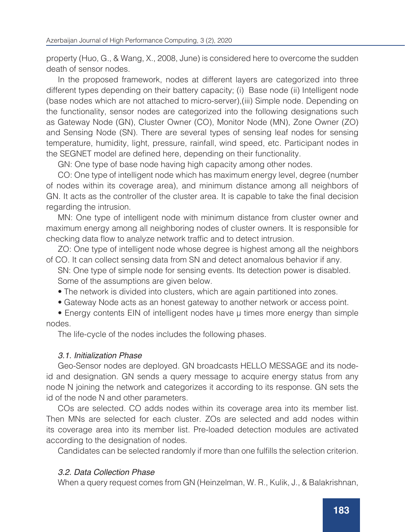property (Huo, G., & Wang, X., 2008, June) is considered here to overcome the sudden death of sensor nodes.

In the proposed framework, nodes at different layers are categorized into three different types depending on their battery capacity; (i) Base node (ii) Intelligent node (base nodes which are not attached to micro-server),(iii) Simple node. Depending on the functionality, sensor nodes are categorized into the following designations such as Gateway Node (GN), Cluster Owner (CO), Monitor Node (MN), Zone Owner (ZO) and Sensing Node (SN). There are several types of sensing leaf nodes for sensing temperature, humidity, light, pressure, rainfall, wind speed, etc. Participant nodes in the SEGNET model are defined here, depending on their functionality.

GN: One type of base node having high capacity among other nodes.

CO: One type of intelligent node which has maximum energy level, degree (number of nodes within its coverage area), and minimum distance among all neighbors of GN. It acts as the controller of the cluster area. It is capable to take the final decision regarding the intrusion.

MN: One type of intelligent node with minimum distance from cluster owner and maximum energy among all neighboring nodes of cluster owners. It is responsible for checking data flow to analyze network traffic and to detect intrusion.

ZO: One type of intelligent node whose degree is highest among all the neighbors of CO. It can collect sensing data from SN and detect anomalous behavior if any.

SN: One type of simple node for sensing events. Its detection power is disabled. Some of the assumptions are given below.

• The network is divided into clusters, which are again partitioned into zones.

• Gateway Node acts as an honest gateway to another network or access point.

• Energy contents EIN of intelligent nodes have μ times more energy than simple nodes.

The life-cycle of the nodes includes the following phases.

### 3.1. Initialization Phase

Geo-Sensor nodes are deployed. GN broadcasts HELLO MESSAGE and its nodeid and designation. GN sends a query message to acquire energy status from any node N joining the network and categorizes it according to its response. GN sets the id of the node N and other parameters.

COs are selected. CO adds nodes within its coverage area into its member list. Then MNs are selected for each cluster. ZOs are selected and add nodes within its coverage area into its member list. Pre-loaded detection modules are activated according to the designation of nodes.

Candidates can be selected randomly if more than one fulfills the selection criterion.

### 3.2. Data Collection Phase

When a query request comes from GN (Heinzelman, W. R., Kulik, J., & Balakrishnan,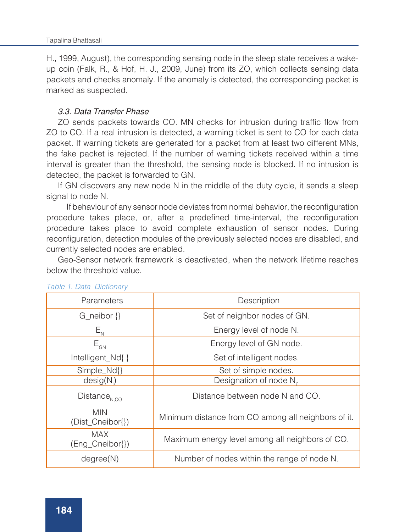H., 1999, August), the corresponding sensing node in the sleep state receives a wakeup coin (Falk, R., & Hof, H. J., 2009, June) from its ZO, which collects sensing data packets and checks anomaly. If the anomaly is detected, the corresponding packet is marked as suspected.

### 3.3. Data Transfer Phase

ZO sends packets towards CO. MN checks for intrusion during traffic flow from ZO to CO. If a real intrusion is detected, a warning ticket is sent to CO for each data packet. If warning tickets are generated for a packet from at least two different MNs, the fake packet is rejected. If the number of warning tickets received within a time interval is greater than the threshold, the sensing node is blocked. If no intrusion is detected, the packet is forwarded to GN.

If GN discovers any new node N in the middle of the duty cycle, it sends a sleep signal to node N.

 If behaviour of any sensor node deviates from normal behavior, the reconfiguration procedure takes place, or, after a predefined time-interval, the reconfiguration procedure takes place to avoid complete exhaustion of sensor nodes. During reconfiguration, detection modules of the previously selected nodes are disabled, and currently selected nodes are enabled.

Geo-Sensor network framework is deactivated, when the network lifetime reaches below the threshold value.

| Parameters                     | Description                                         |
|--------------------------------|-----------------------------------------------------|
| G_neibor {}                    | Set of neighbor nodes of GN.                        |
| $E_{\scriptscriptstyle\rm N}$  | Energy level of node N.                             |
| $E_{GN}$                       | Energy level of GN node.                            |
| Intelligent_Nd{}               | Set of intelligent nodes.                           |
| Simple_Nd{}                    | Set of simple nodes.                                |
| design(N)                      | Designation of node N.                              |
| $Distance_{N,CO}$              | Distance between node N and CO.                     |
| <b>MIN</b><br>(Dist_Cneibor{}) | Minimum distance from CO among all neighbors of it. |
| <b>MAX</b><br>(Eng_Cneibor{})  | Maximum energy level among all neighbors of CO.     |
| degree(N)                      | Number of nodes within the range of node N.         |

#### *Table 1. Data Dictionary*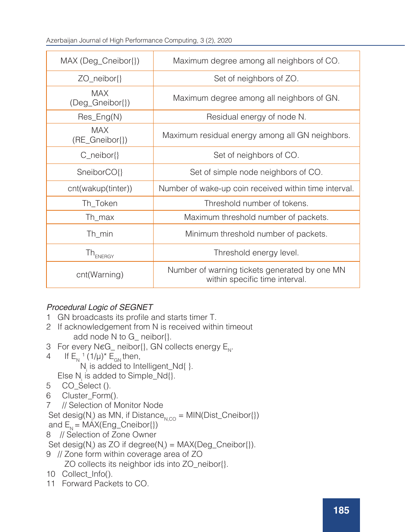Azerbaijan Journal of High Performance Computing, 3 (2), 2020

| MAX (Deg_Cneibor{})           | Maximum degree among all neighbors of CO.                                       |
|-------------------------------|---------------------------------------------------------------------------------|
| ZO_neibor{}                   | Set of neighbors of ZO.                                                         |
| <b>MAX</b><br>(Deg_Gneibor{}) | Maximum degree among all neighbors of GN.                                       |
| $Res_{B}C(N)$                 | Residual energy of node N.                                                      |
| MAX<br>(RE_Gneibor{})         | Maximum residual energy among all GN neighbors.                                 |
| $C_{\text{neibor}}\$          | Set of neighbors of CO.                                                         |
| SneiborCO{}                   | Set of simple node neighbors of CO.                                             |
| cnt(wakup(tinter))            | Number of wake-up coin received within time interval.                           |
| Th_Token                      | Threshold number of tokens.                                                     |
| Th_max                        | Maximum threshold number of packets.                                            |
| Th_min                        | Minimum threshold number of packets.                                            |
| Th <sub>ENERGY</sub>          | Threshold energy level.                                                         |
| cnt(Warning)                  | Number of warning tickets generated by one MN<br>within specific time interval. |

## Procedural Logic of SEGNET

- 1 GN broadcasts its profile and starts timer T.
- 2 If acknowledgement from N is received within timeout add node N to G\_ neibor{}.
- 3 For every N $\epsilon G$  neibor{}, GN collects energy  $E_N$ .<br>4 If E. 1(1/u)\* E. then.
- If  $E_N^{-1} (1/\mu)^* E_{GN}$  then,  $N_i$  is added to Intelligent\_Nd{ }.
- Else  $N_i$  is added to Simple\_Nd{}. 5 CO\_Select ().
- 6 Cluster\_Form().
- 7 // Selection of Monitor Node

Set desig( $N_i$ ) as MN, if Distance<sub>N,CO</sub> = MIN(Dist\_Cneibor{})

and  $E_N$  = MAX(Eng\_Cneibor{})

8 // Selection of Zone Owner

Set desig( $N_i$ ) as ZO if degree( $N_i$ ) = MAX(Deg\_Cneibor{}).

```
9 // Zone form within coverage area of ZO
```

```
 ZO collects its neighbor ids into ZO_neibor{}.
```
- 10 Collect\_Info().
- 11 Forward Packets to CO.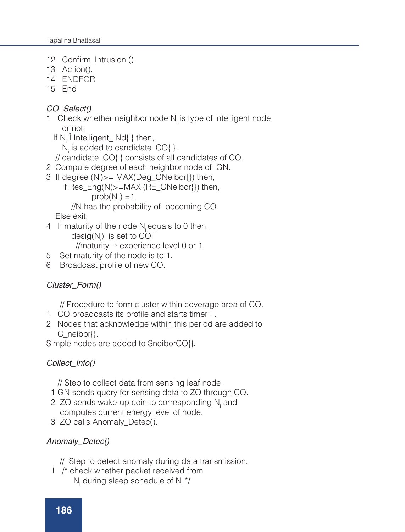12 Confirm\_Intrusion ().

- 13 Action().
- 14 ENDFOR
- 15 End

### CO\_Select()

- 1 Check whether neighbor node  $N_i$  is type of intelligent node or not.
- If  $N_i$  I Intelligent\_Nd{ } then,
- $N_{i}$  is added to candidate\_CO{ }.
	- // candidate\_CO{ } consists of all candidates of CO.
- 2 Compute degree of each neighbor node of GN.
- 3 If degree (N<sub>i</sub>)>= MAX(Deg\_GNeibor{}) then,
	- If Res\_Eng(N)>=MAX (RE\_GNeibor{}) then,  $prob(N) = 1$ .

 //Ni has the probability of becoming CO. Else exit.

4 If maturity of the node N<sub>i</sub> equals to 0 then, desig( $N$ <sub>i</sub>) is set to CO.

//maturity→ experience level 0 or 1.

- 5 Set maturity of the node is to 1.
- 6 Broadcast profile of new CO.

## Cluster\_Form()

// Procedure to form cluster within coverage area of CO.

- 1 CO broadcasts its profile and starts timer T.
- 2 Nodes that acknowledge within this period are added to C\_neibor{}.

Simple nodes are added to SneiborCO{}.

## Collect\_Info()

// Step to collect data from sensing leaf node.

- 1 GN sends query for sensing data to ZO through CO.
- 2 ZO sends wake-up coin to corresponding  $N_i$  and computes current energy level of node.
- 3 ZO calls Anomaly\_Detec().

## Anomaly\_Detec()

- // Step to detect anomaly during data transmission.
- 1 /\* check whether packet received from  $N_i$  during sleep schedule of  $N_i$  \*/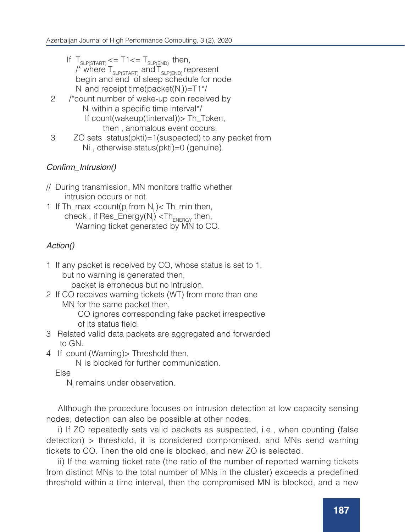- If  $T_{\text{SLP(STAT)}} \leq T1 \leq T_{\text{SLP(END)}}$  then, /\* where  $\mathsf{T}_{\text{\tiny{SLP(STAT)}}}$  and  $\mathsf{T}_{\text{\tiny{SLP(END)}}}$  represent begin and end of sleep schedule for node N<sub>i</sub> and receipt time(packet(N<sub>i</sub>))=T1\*/
- 2 /\*count number of wake-up coin received by  $N_i$  within a specific time interval\*/ If count(wakeup(tinterval)) > Th\_Token, then , anomalous event occurs.
- 3 ZO sets status(pkti)=1(suspected) to any packet from Ni , otherwise status(pkti)=0 (genuine).

## Confirm\_Intrusion()

- // During transmission, MN monitors traffic whether intrusion occurs or not.
- 1 If Th\_max <count( $p_i$  from  $N_i$ )< Th\_min then, check , if Res\_Energy(N<sub>i</sub>) <Th<sub>ENERGY</sub> then, Warning ticket generated by MN to CO.

## Action()

1 If any packet is received by CO, whose status is set to 1, but no warning is generated then,

packet is erroneous but no intrusion.

2 If CO receives warning tickets (WT) from more than one MN for the same packet then,

 CO ignores corresponding fake packet irrespective of its status field.

- 3 Related valid data packets are aggregated and forwarded to GN.
- 4 If count (Warning) > Threshold then,

 $N_i$  is blocked for further communication.

Else

N<sub>i</sub> remains under observation.

Although the procedure focuses on intrusion detection at low capacity sensing nodes, detection can also be possible at other nodes.

i) If ZO repeatedly sets valid packets as suspected, i.e., when counting (false detection) > threshold, it is considered compromised, and MNs send warning tickets to CO. Then the old one is blocked, and new ZO is selected.

ii) If the warning ticket rate (the ratio of the number of reported warning tickets from distinct MNs to the total number of MNs in the cluster) exceeds a predefined threshold within a time interval, then the compromised MN is blocked, and a new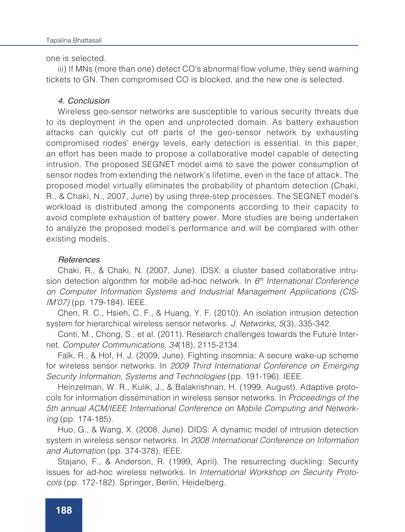one is selected.

iii) If MNs (more than one) detect CO's abnormal flow volume, they send warning tickets to GN. Then compromised CO is blocked, and the new one is selected.

#### 4. Conclusion

Wireless geo-sensor networks are susceptible to various security threats due to its deployment in the open and unprotected domain. As battery exhaustion attacks can quickly cut off parts of the geo-sensor network by exhausting compromised nodes' energy levels, early detection is essential. In this paper, an effort has been made to propose a collaborative model capable of detecting intrusion. The proposed SEGNET model aims to save the power consumption of sensor nodes from extending the network's lifetime, even in the face of attack. The proposed model virtually eliminates the probability of phantom detection (Chaki, R., & Chaki, N., 2007, June) by using three-step processes. The SEGNET model's workload is distributed among the components according to their capacity to avoid complete exhaustion of battery power. More studies are being undertaken to analyze the proposed model's performance and will be compared with other existing models.

### References

Chaki, R., & Chaki, N. (2007, June). IDSX: a cluster based collaborative intrusion detection algorithm for mobile ad-hoc network. In *6th International Conference on Computer Information Systems and Industrial Management Applications (CIS-IM'07)* (pp. 179-184). IEEE.

Chen, R. C., Hsieh, C. F., & Huang, Y. F. (2010). An isolation intrusion detection system for hierarchical wireless sensor networks. *J. Networks, 5*(3), 335-342.

Conti, M., Chong, S., et al. (2011). Research challenges towards the Future Internet. *Computer Communications, 34*(18), 2115-2134.

Falk, R., & Hof, H. J. (2009, June). Fighting insomnia: A secure wake-up scheme for wireless sensor networks. In *2009 Third International Conference on Emerging Security Information, Systems and Technologies* (pp. 191-196). IEEE.

Heinzelman, W. R., Kulik, J., & Balakrishnan, H. (1999, August). Adaptive protocols for information dissemination in wireless sensor networks. In *Proceedings of the 5th annual ACM/IEEE International Conference on Mobile Computing and Networking* (pp. 174-185).

Huo, G., & Wang, X. (2008, June). DIDS: A dynamic model of intrusion detection system in wireless sensor networks. In *2008 International Conference on Information and Automation* (pp. 374-378). IEEE.

Stajano, F., & Anderson, R. (1999, April). The resurrecting duckling: Security issues for ad-hoc wireless networks. In *International Workshop on Security Protocols* (pp. 172-182). Springer, Berlin, Heidelberg.